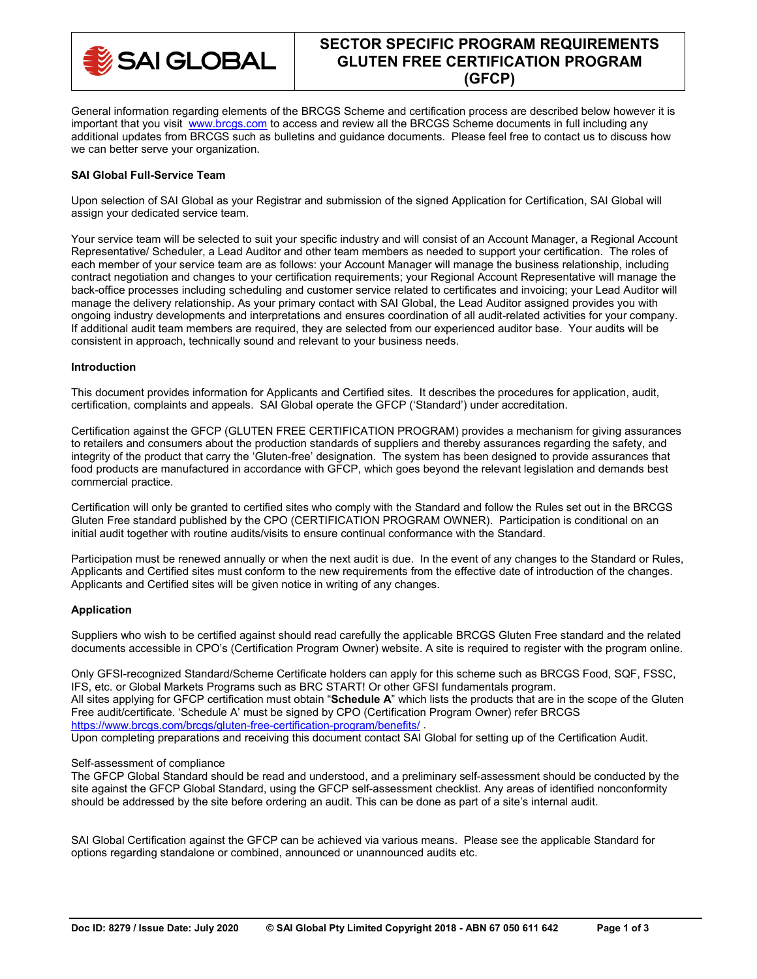

# **SECTOR SPECIFIC PROGRAM REQUIREMENTS GLUTEN FREE CERTIFICATION PROGRAM (GFCP)**

General information regarding elements of the BRCGS Scheme and certification process are described below however it is important that you visit [www.brcgs.com](http://www.brcgs.com/) to access and review all the BRCGS Scheme documents in full including any additional updates from BRCGS such as bulletins and guidance documents. Please feel free to contact us to discuss how we can better serve your organization.

## **SAI Global Full-Service Team**

Upon selection of SAI Global as your Registrar and submission of the signed Application for Certification, SAI Global will assign your dedicated service team.

Your service team will be selected to suit your specific industry and will consist of an Account Manager, a Regional Account Representative/ Scheduler, a Lead Auditor and other team members as needed to support your certification. The roles of each member of your service team are as follows: your Account Manager will manage the business relationship, including contract negotiation and changes to your certification requirements; your Regional Account Representative will manage the back-office processes including scheduling and customer service related to certificates and invoicing; your Lead Auditor will manage the delivery relationship. As your primary contact with SAI Global, the Lead Auditor assigned provides you with ongoing industry developments and interpretations and ensures coordination of all audit-related activities for your company. If additional audit team members are required, they are selected from our experienced auditor base. Your audits will be consistent in approach, technically sound and relevant to your business needs.

### **Introduction**

This document provides information for Applicants and Certified sites. It describes the procedures for application, audit, certification, complaints and appeals. SAI Global operate the GFCP ('Standard') under accreditation.

Certification against the GFCP (GLUTEN FREE CERTIFICATION PROGRAM) provides a mechanism for giving assurances to retailers and consumers about the production standards of suppliers and thereby assurances regarding the safety, and integrity of the product that carry the 'Gluten-free' designation. The system has been designed to provide assurances that food products are manufactured in accordance with GFCP, which goes beyond the relevant legislation and demands best commercial practice.

Certification will only be granted to certified sites who comply with the Standard and follow the Rules set out in the BRCGS Gluten Free standard published by the CPO (CERTIFICATION PROGRAM OWNER). Participation is conditional on an initial audit together with routine audits/visits to ensure continual conformance with the Standard.

Participation must be renewed annually or when the next audit is due. In the event of any changes to the Standard or Rules, Applicants and Certified sites must conform to the new requirements from the effective date of introduction of the changes. Applicants and Certified sites will be given notice in writing of any changes.

## **Application**

Suppliers who wish to be certified against should read carefully the applicable BRCGS Gluten Free standard and the related documents accessible in CPO's (Certification Program Owner) website. A site is required to register with the program online.

Only GFSI-recognized Standard/Scheme Certificate holders can apply for this scheme such as BRCGS Food, SQF, FSSC, IFS, etc. or Global Markets Programs such as BRC START! Or other GFSI fundamentals program. All sites applying for GFCP certification must obtain "**Schedule A**" which lists the products that are in the scope of the Gluten Free audit/certificate. 'Schedule A' must be signed by CPO (Certification Program Owner) refer BRCGS <https://www.brcgs.com/brcgs/gluten-free-certification-program/benefits/>.

Upon completing preparations and receiving this document contact SAI Global for setting up of the Certification Audit.

#### Self-assessment of compliance

The GFCP Global Standard should be read and understood, and a preliminary self-assessment should be conducted by the site against the GFCP Global Standard, using the GFCP self-assessment checklist. Any areas of identified nonconformity should be addressed by the site before ordering an audit. This can be done as part of a site's internal audit.

SAI Global Certification against the GFCP can be achieved via various means. Please see the applicable Standard for options regarding standalone or combined, announced or unannounced audits etc.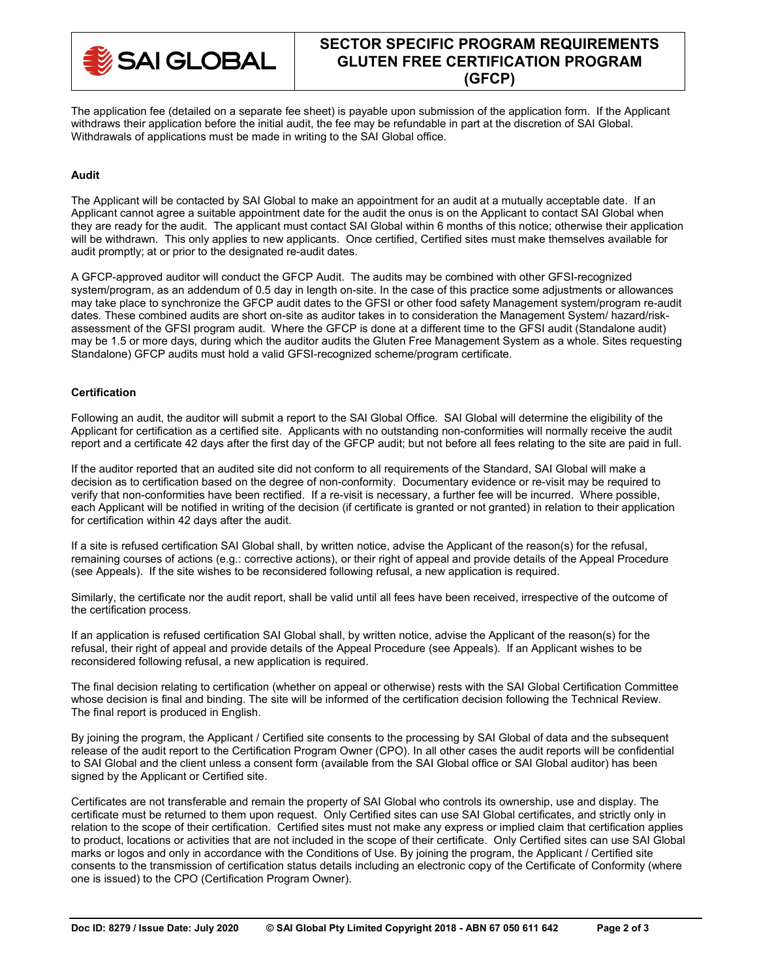

# **SECTOR SPECIFIC PROGRAM REQUIREMENTS GLUTEN FREE CERTIFICATION PROGRAM (GFCP)**

The application fee (detailed on a separate fee sheet) is payable upon submission of the application form. If the Applicant withdraws their application before the initial audit, the fee may be refundable in part at the discretion of SAI Global. Withdrawals of applications must be made in writing to the SAI Global office.

## **Audit**

The Applicant will be contacted by SAI Global to make an appointment for an audit at a mutually acceptable date. If an Applicant cannot agree a suitable appointment date for the audit the onus is on the Applicant to contact SAI Global when they are ready for the audit. The applicant must contact SAI Global within 6 months of this notice; otherwise their application will be withdrawn. This only applies to new applicants. Once certified, Certified sites must make themselves available for audit promptly; at or prior to the designated re-audit dates.

A GFCP-approved auditor will conduct the GFCP Audit. The audits may be combined with other GFSI-recognized system/program, as an addendum of 0.5 day in length on-site. In the case of this practice some adjustments or allowances may take place to synchronize the GFCP audit dates to the GFSI or other food safety Management system/program re-audit dates. These combined audits are short on-site as auditor takes in to consideration the Management System/ hazard/riskassessment of the GFSI program audit. Where the GFCP is done at a different time to the GFSI audit (Standalone audit) may be 1.5 or more days, during which the auditor audits the Gluten Free Management System as a whole. Sites requesting Standalone) GFCP audits must hold a valid GFSI-recognized scheme/program certificate.

## **Certification**

Following an audit, the auditor will submit a report to the SAI Global Office. SAI Global will determine the eligibility of the Applicant for certification as a certified site. Applicants with no outstanding non-conformities will normally receive the audit report and a certificate 42 days after the first day of the GFCP audit; but not before all fees relating to the site are paid in full.

If the auditor reported that an audited site did not conform to all requirements of the Standard, SAI Global will make a decision as to certification based on the degree of non-conformity. Documentary evidence or re-visit may be required to verify that non-conformities have been rectified. If a re-visit is necessary, a further fee will be incurred. Where possible, each Applicant will be notified in writing of the decision (if certificate is granted or not granted) in relation to their application for certification within 42 days after the audit.

If a site is refused certification SAI Global shall, by written notice, advise the Applicant of the reason(s) for the refusal, remaining courses of actions (e.g.: corrective actions), or their right of appeal and provide details of the Appeal Procedure (see Appeals). If the site wishes to be reconsidered following refusal, a new application is required.

Similarly, the certificate nor the audit report, shall be valid until all fees have been received, irrespective of the outcome of the certification process.

If an application is refused certification SAI Global shall, by written notice, advise the Applicant of the reason(s) for the refusal, their right of appeal and provide details of the Appeal Procedure (see Appeals). If an Applicant wishes to be reconsidered following refusal, a new application is required.

The final decision relating to certification (whether on appeal or otherwise) rests with the SAI Global Certification Committee whose decision is final and binding. The site will be informed of the certification decision following the Technical Review. The final report is produced in English.

By joining the program, the Applicant / Certified site consents to the processing by SAI Global of data and the subsequent release of the audit report to the Certification Program Owner (CPO). In all other cases the audit reports will be confidential to SAI Global and the client unless a consent form (available from the SAI Global office or SAI Global auditor) has been signed by the Applicant or Certified site.

Certificates are not transferable and remain the property of SAI Global who controls its ownership, use and display. The certificate must be returned to them upon request. Only Certified sites can use SAI Global certificates, and strictly only in relation to the scope of their certification. Certified sites must not make any express or implied claim that certification applies to product, locations or activities that are not included in the scope of their certificate. Only Certified sites can use SAI Global marks or logos and only in accordance with the Conditions of Use. By joining the program, the Applicant / Certified site consents to the transmission of certification status details including an electronic copy of the Certificate of Conformity (where one is issued) to the CPO (Certification Program Owner).